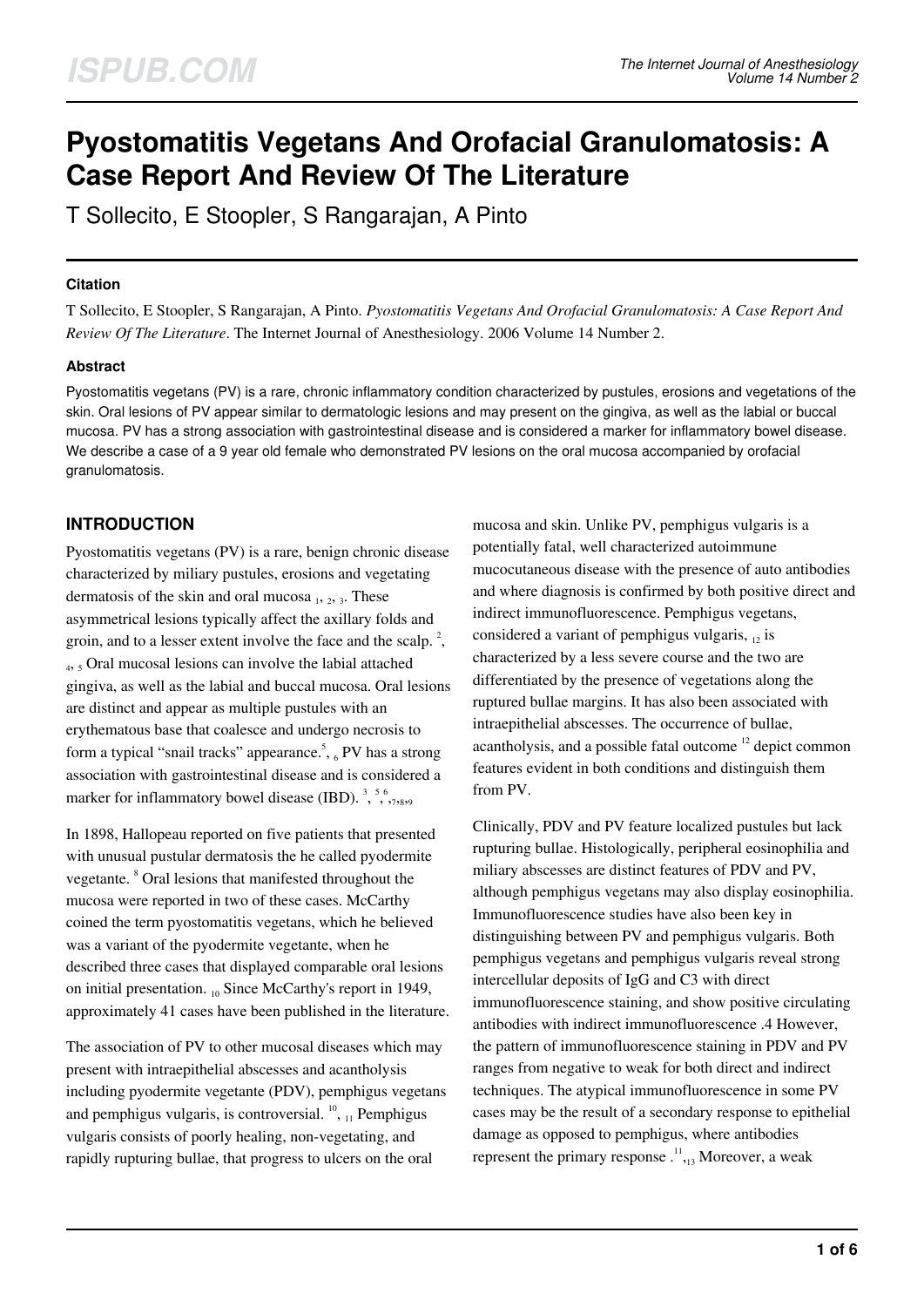# **Pyostomatitis Vegetans And Orofacial Granulomatosis: A Case Report And Review Of The Literature**

T Sollecito, E Stoopler, S Rangarajan, A Pinto

### **Citation**

T Sollecito, E Stoopler, S Rangarajan, A Pinto. *Pyostomatitis Vegetans And Orofacial Granulomatosis: A Case Report And Review Of The Literature*. The Internet Journal of Anesthesiology. 2006 Volume 14 Number 2.

## **Abstract**

Pyostomatitis vegetans (PV) is a rare, chronic inflammatory condition characterized by pustules, erosions and vegetations of the skin. Oral lesions of PV appear similar to dermatologic lesions and may present on the gingiva, as well as the labial or buccal mucosa. PV has a strong association with gastrointestinal disease and is considered a marker for inflammatory bowel disease. We describe a case of a 9 year old female who demonstrated PV lesions on the oral mucosa accompanied by orofacial granulomatosis.

## **INTRODUCTION**

Pyostomatitis vegetans (PV) is a rare, benign chronic disease characterized by miliary pustules, erosions and vegetating dermatosis of the skin and oral mucosa  $_1$ ,  $_2$ ,  $_3$ . These asymmetrical lesions typically affect the axillary folds and groin, and to a lesser extent involve the face and the scalp.<sup>2</sup>, 4 , 5 Oral mucosal lesions can involve the labial attached gingiva, as well as the labial and buccal mucosa. Oral lesions are distinct and appear as multiple pustules with an erythematous base that coalesce and undergo necrosis to form a typical "snail tracks" appearance.<sup>5</sup>, 6 PV has a strong association with gastrointestinal disease and is considered a marker for inflammatory bowel disease (IBD).<sup>3</sup>,  $5, 6, 7, 8, 9$ 

In 1898, Hallopeau reported on five patients that presented with unusual pustular dermatosis the he called pyodermite vegetante. <sup>8</sup> Oral lesions that manifested throughout the mucosa were reported in two of these cases. McCarthy coined the term pyostomatitis vegetans, which he believed was a variant of the pyodermite vegetante, when he described three cases that displayed comparable oral lesions on initial presentation. 10 Since McCarthy's report in 1949, approximately 41 cases have been published in the literature.

The association of PV to other mucosal diseases which may present with intraepithelial abscesses and acantholysis including pyodermite vegetante (PDV), pemphigus vegetans and pemphigus vulgaris, is controversial. <sup>10</sup>, <sub>11</sub> Pemphigus vulgaris consists of poorly healing, non-vegetating, and rapidly rupturing bullae, that progress to ulcers on the oral

mucosa and skin. Unlike PV, pemphigus vulgaris is a potentially fatal, well characterized autoimmune mucocutaneous disease with the presence of auto antibodies and where diagnosis is confirmed by both positive direct and indirect immunofluorescence. Pemphigus vegetans, considered a variant of pemphigus vulgaris,  $_{12}$  is characterized by a less severe course and the two are differentiated by the presence of vegetations along the ruptured bullae margins. It has also been associated with intraepithelial abscesses. The occurrence of bullae, acantholysis, and a possible fatal outcome <sup>12</sup> depict common features evident in both conditions and distinguish them from PV.

Clinically, PDV and PV feature localized pustules but lack rupturing bullae. Histologically, peripheral eosinophilia and miliary abscesses are distinct features of PDV and PV, although pemphigus vegetans may also display eosinophilia. Immunofluorescence studies have also been key in distinguishing between PV and pemphigus vulgaris. Both pemphigus vegetans and pemphigus vulgaris reveal strong intercellular deposits of IgG and C3 with direct immunofluorescence staining, and show positive circulating antibodies with indirect immunofluorescence .4 However, the pattern of immunofluorescence staining in PDV and PV ranges from negative to weak for both direct and indirect techniques. The atypical immunofluorescence in some PV cases may be the result of a secondary response to epithelial damage as opposed to pemphigus, where antibodies represent the primary response  $\cdot^{11}$ , Moreover, a weak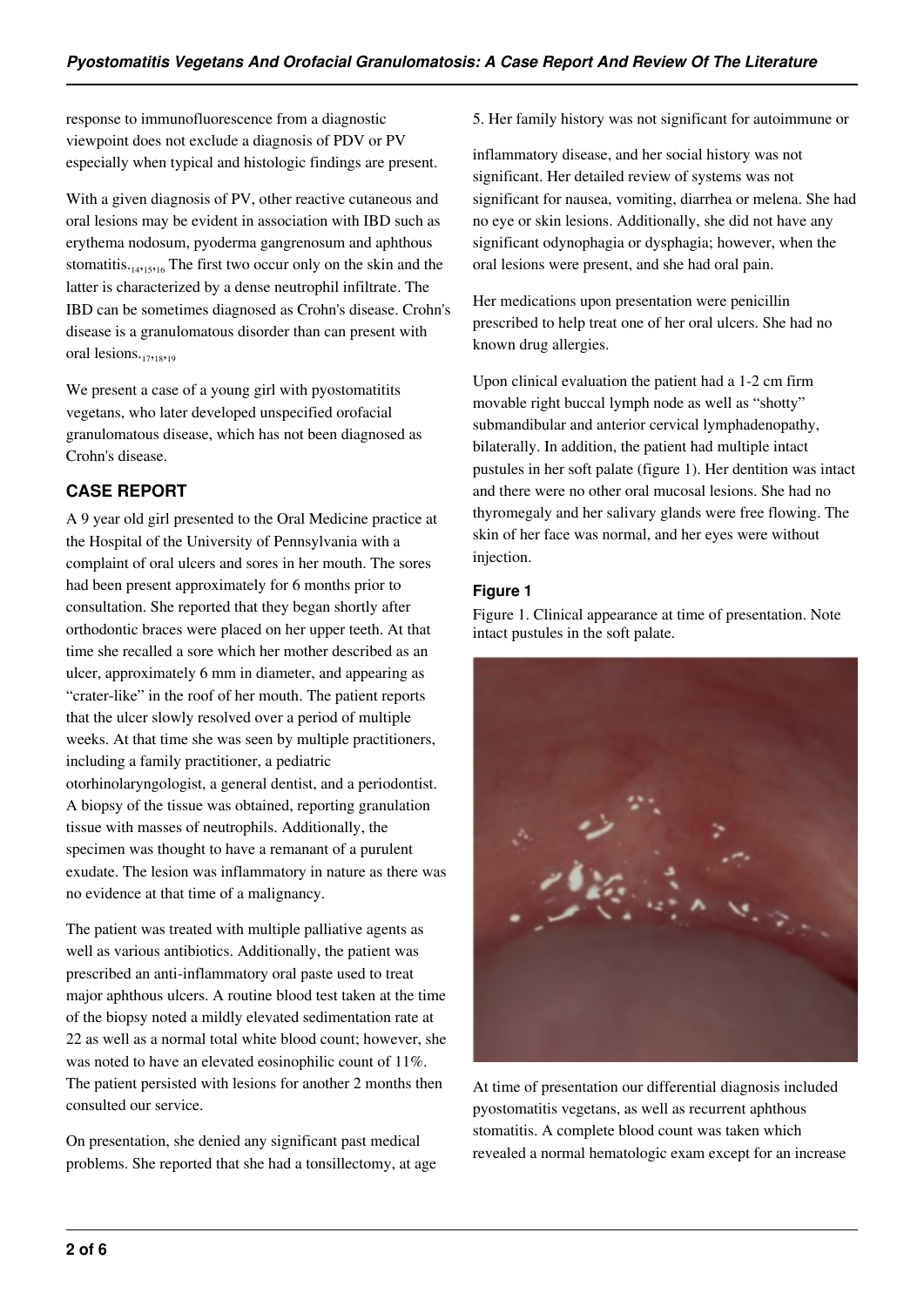response to immunofluorescence from a diagnostic viewpoint does not exclude a diagnosis of PDV or PV especially when typical and histologic findings are present.

With a given diagnosis of PV, other reactive cutaneous and oral lesions may be evident in association with IBD such as erythema nodosum, pyoderma gangrenosum and aphthous stomatitis. $_{14,15,16}$  The first two occur only on the skin and the latter is characterized by a dense neutrophil infiltrate. The IBD can be sometimes diagnosed as Crohn's disease. Crohn's disease is a granulomatous disorder than can present with oral lesions.<sub>17,18,19</sub>

We present a case of a young girl with pyostomatitits vegetans, who later developed unspecified orofacial granulomatous disease, which has not been diagnosed as Crohn's disease.

## **CASE REPORT**

A 9 year old girl presented to the Oral Medicine practice at the Hospital of the University of Pennsylvania with a complaint of oral ulcers and sores in her mouth. The sores had been present approximately for 6 months prior to consultation. She reported that they began shortly after orthodontic braces were placed on her upper teeth. At that time she recalled a sore which her mother described as an ulcer, approximately 6 mm in diameter, and appearing as "crater-like" in the roof of her mouth. The patient reports that the ulcer slowly resolved over a period of multiple weeks. At that time she was seen by multiple practitioners, including a family practitioner, a pediatric otorhinolaryngologist, a general dentist, and a periodontist. A biopsy of the tissue was obtained, reporting granulation tissue with masses of neutrophils. Additionally, the specimen was thought to have a remanant of a purulent exudate. The lesion was inflammatory in nature as there was no evidence at that time of a malignancy.

The patient was treated with multiple palliative agents as well as various antibiotics. Additionally, the patient was prescribed an anti-inflammatory oral paste used to treat major aphthous ulcers. A routine blood test taken at the time of the biopsy noted a mildly elevated sedimentation rate at 22 as well as a normal total white blood count; however, she was noted to have an elevated eosinophilic count of 11%. The patient persisted with lesions for another 2 months then consulted our service.

On presentation, she denied any significant past medical problems. She reported that she had a tonsillectomy, at age 5. Her family history was not significant for autoimmune or

inflammatory disease, and her social history was not significant. Her detailed review of systems was not significant for nausea, vomiting, diarrhea or melena. She had no eye or skin lesions. Additionally, she did not have any significant odynophagia or dysphagia; however, when the oral lesions were present, and she had oral pain.

Her medications upon presentation were penicillin prescribed to help treat one of her oral ulcers. She had no known drug allergies.

Upon clinical evaluation the patient had a 1-2 cm firm movable right buccal lymph node as well as "shotty" submandibular and anterior cervical lymphadenopathy, bilaterally. In addition, the patient had multiple intact pustules in her soft palate (figure 1). Her dentition was intact and there were no other oral mucosal lesions. She had no thyromegaly and her salivary glands were free flowing. The skin of her face was normal, and her eyes were without injection.

## **Figure 1**

Figure 1. Clinical appearance at time of presentation. Note intact pustules in the soft palate.



At time of presentation our differential diagnosis included pyostomatitis vegetans, as well as recurrent aphthous stomatitis. A complete blood count was taken which revealed a normal hematologic exam except for an increase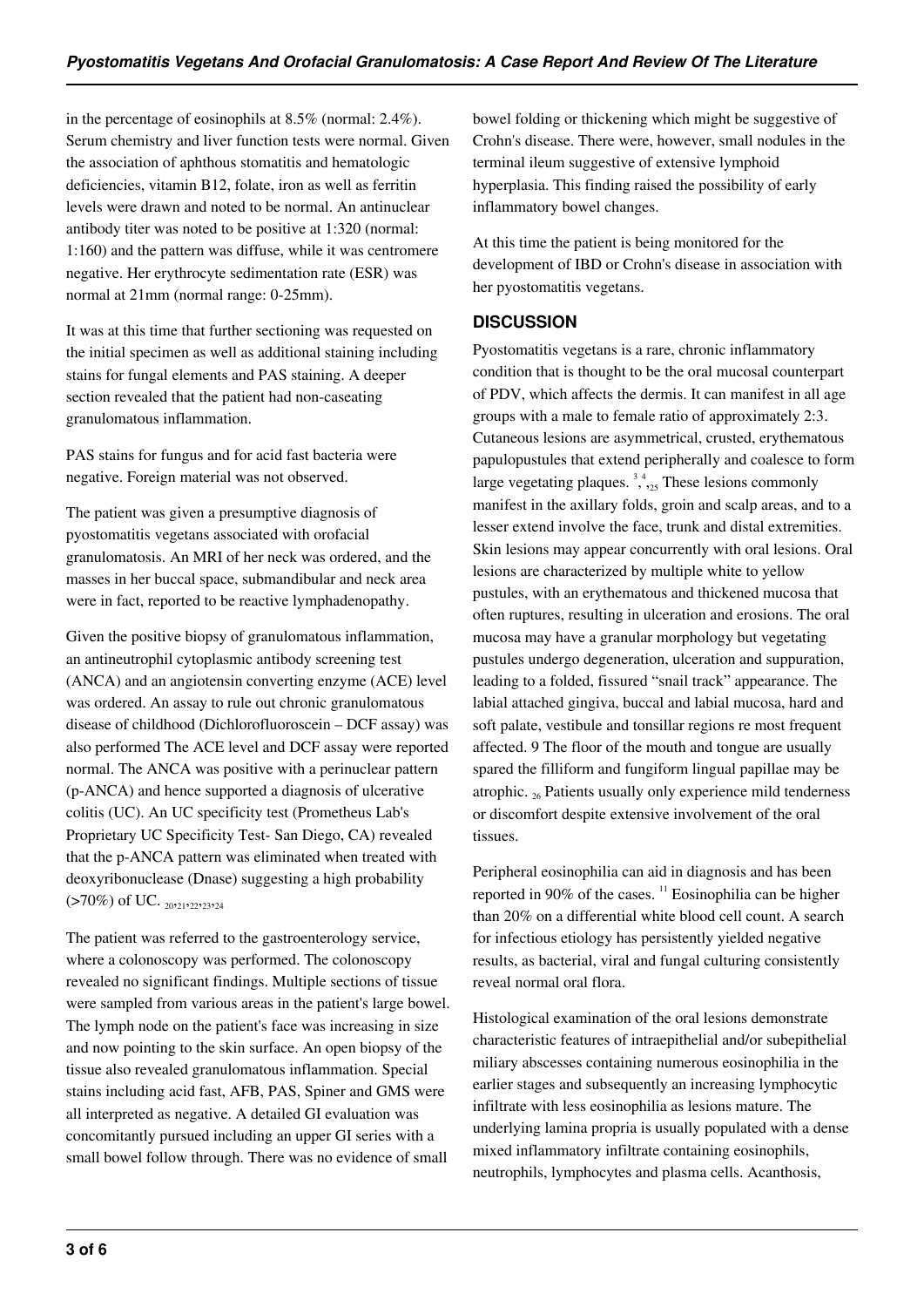in the percentage of eosinophils at 8.5% (normal: 2.4%). Serum chemistry and liver function tests were normal. Given the association of aphthous stomatitis and hematologic deficiencies, vitamin B12, folate, iron as well as ferritin levels were drawn and noted to be normal. An antinuclear antibody titer was noted to be positive at 1:320 (normal: 1:160) and the pattern was diffuse, while it was centromere negative. Her erythrocyte sedimentation rate (ESR) was normal at 21mm (normal range: 0-25mm).

It was at this time that further sectioning was requested on the initial specimen as well as additional staining including stains for fungal elements and PAS staining. A deeper section revealed that the patient had non-caseating granulomatous inflammation.

PAS stains for fungus and for acid fast bacteria were negative. Foreign material was not observed.

The patient was given a presumptive diagnosis of pyostomatitis vegetans associated with orofacial granulomatosis. An MRI of her neck was ordered, and the masses in her buccal space, submandibular and neck area were in fact, reported to be reactive lymphadenopathy.

Given the positive biopsy of granulomatous inflammation, an antineutrophil cytoplasmic antibody screening test (ANCA) and an angiotensin converting enzyme (ACE) level was ordered. An assay to rule out chronic granulomatous disease of childhood (Dichlorofluoroscein – DCF assay) was also performed The ACE level and DCF assay were reported normal. The ANCA was positive with a perinuclear pattern (p-ANCA) and hence supported a diagnosis of ulcerative colitis (UC). An UC specificity test (Prometheus Lab's Proprietary UC Specificity Test- San Diego, CA) revealed that the p-ANCA pattern was eliminated when treated with deoxyribonuclease (Dnase) suggesting a high probability  $(>70\%)$  of UC. <sub>20221</sub>, 22, 23, 24

The patient was referred to the gastroenterology service, where a colonoscopy was performed. The colonoscopy revealed no significant findings. Multiple sections of tissue were sampled from various areas in the patient's large bowel. The lymph node on the patient's face was increasing in size and now pointing to the skin surface. An open biopsy of the tissue also revealed granulomatous inflammation. Special stains including acid fast, AFB, PAS, Spiner and GMS were all interpreted as negative. A detailed GI evaluation was concomitantly pursued including an upper GI series with a small bowel follow through. There was no evidence of small

bowel folding or thickening which might be suggestive of Crohn's disease. There were, however, small nodules in the terminal ileum suggestive of extensive lymphoid hyperplasia. This finding raised the possibility of early inflammatory bowel changes.

At this time the patient is being monitored for the development of IBD or Crohn's disease in association with her pyostomatitis vegetans.

## **DISCUSSION**

Pyostomatitis vegetans is a rare, chronic inflammatory condition that is thought to be the oral mucosal counterpart of PDV, which affects the dermis. It can manifest in all age groups with a male to female ratio of approximately 2:3. Cutaneous lesions are asymmetrical, crusted, erythematous papulopustules that extend peripherally and coalesce to form large vegetating plaques.  $3, 4, 4$ <sub>25</sub> These lesions commonly manifest in the axillary folds, groin and scalp areas, and to a lesser extend involve the face, trunk and distal extremities. Skin lesions may appear concurrently with oral lesions. Oral lesions are characterized by multiple white to yellow pustules, with an erythematous and thickened mucosa that often ruptures, resulting in ulceration and erosions. The oral mucosa may have a granular morphology but vegetating pustules undergo degeneration, ulceration and suppuration, leading to a folded, fissured "snail track" appearance. The labial attached gingiva, buccal and labial mucosa, hard and soft palate, vestibule and tonsillar regions re most frequent affected. 9 The floor of the mouth and tongue are usually spared the filliform and fungiform lingual papillae may be atrophic.  $_{26}$  Patients usually only experience mild tenderness or discomfort despite extensive involvement of the oral tissues.

Peripheral eosinophilia can aid in diagnosis and has been reported in 90% of the cases.  $\frac{11}{11}$  Eosinophilia can be higher than 20% on a differential white blood cell count. A search for infectious etiology has persistently yielded negative results, as bacterial, viral and fungal culturing consistently reveal normal oral flora.

Histological examination of the oral lesions demonstrate characteristic features of intraepithelial and/or subepithelial miliary abscesses containing numerous eosinophilia in the earlier stages and subsequently an increasing lymphocytic infiltrate with less eosinophilia as lesions mature. The underlying lamina propria is usually populated with a dense mixed inflammatory infiltrate containing eosinophils, neutrophils, lymphocytes and plasma cells. Acanthosis,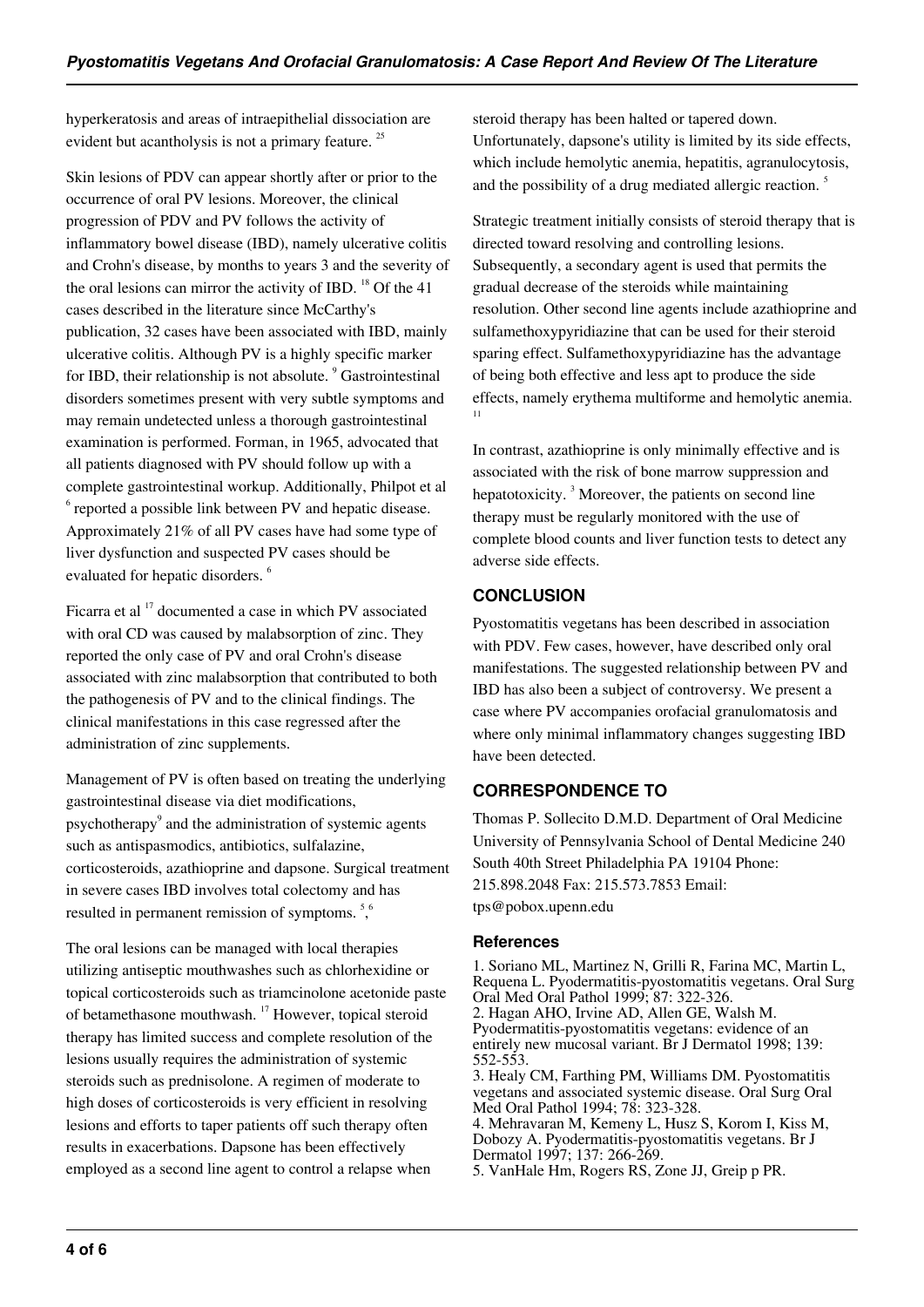hyperkeratosis and areas of intraepithelial dissociation are evident but acantholysis is not a primary feature.<sup>25</sup>

Skin lesions of PDV can appear shortly after or prior to the occurrence of oral PV lesions. Moreover, the clinical progression of PDV and PV follows the activity of inflammatory bowel disease (IBD), namely ulcerative colitis and Crohn's disease, by months to years 3 and the severity of the oral lesions can mirror the activity of IBD.  $^{18}$  Of the 41 cases described in the literature since McCarthy's publication, 32 cases have been associated with IBD, mainly ulcerative colitis. Although PV is a highly specific marker for IBD, their relationship is not absolute. <sup>9</sup> Gastrointestinal disorders sometimes present with very subtle symptoms and may remain undetected unless a thorough gastrointestinal examination is performed. Forman, in 1965, advocated that all patients diagnosed with PV should follow up with a complete gastrointestinal workup. Additionally, Philpot et al <sup>6</sup> reported a possible link between PV and hepatic disease. Approximately 21% of all PV cases have had some type of liver dysfunction and suspected PV cases should be evaluated for hepatic disorders. <sup>6</sup>

Ficarra et al <sup>17</sup> documented a case in which PV associated with oral CD was caused by malabsorption of zinc. They reported the only case of PV and oral Crohn's disease associated with zinc malabsorption that contributed to both the pathogenesis of PV and to the clinical findings. The clinical manifestations in this case regressed after the administration of zinc supplements.

Management of PV is often based on treating the underlying gastrointestinal disease via diet modifications, psychotherapy<sup>9</sup> and the administration of systemic agents such as antispasmodics, antibiotics, sulfalazine, corticosteroids, azathioprine and dapsone. Surgical treatment in severe cases IBD involves total colectomy and has resulted in permanent remission of symptoms.<sup>56</sup>

The oral lesions can be managed with local therapies utilizing antiseptic mouthwashes such as chlorhexidine or topical corticosteroids such as triamcinolone acetonide paste of betamethasone mouthwash. <sup>17</sup> However, topical steroid therapy has limited success and complete resolution of the lesions usually requires the administration of systemic steroids such as prednisolone. A regimen of moderate to high doses of corticosteroids is very efficient in resolving lesions and efforts to taper patients off such therapy often results in exacerbations. Dapsone has been effectively employed as a second line agent to control a relapse when

steroid therapy has been halted or tapered down. Unfortunately, dapsone's utility is limited by its side effects, which include hemolytic anemia, hepatitis, agranulocytosis, and the possibility of a drug mediated allergic reaction.<sup>5</sup>

Strategic treatment initially consists of steroid therapy that is directed toward resolving and controlling lesions. Subsequently, a secondary agent is used that permits the gradual decrease of the steroids while maintaining resolution. Other second line agents include azathioprine and sulfamethoxypyridiazine that can be used for their steroid sparing effect. Sulfamethoxypyridiazine has the advantage of being both effective and less apt to produce the side effects, namely erythema multiforme and hemolytic anemia. 11

In contrast, azathioprine is only minimally effective and is associated with the risk of bone marrow suppression and hepatotoxicity.<sup>3</sup> Moreover, the patients on second line therapy must be regularly monitored with the use of complete blood counts and liver function tests to detect any adverse side effects.

## **CONCLUSION**

Pyostomatitis vegetans has been described in association with PDV. Few cases, however, have described only oral manifestations. The suggested relationship between PV and IBD has also been a subject of controversy. We present a case where PV accompanies orofacial granulomatosis and where only minimal inflammatory changes suggesting IBD have been detected.

## **CORRESPONDENCE TO**

Thomas P. Sollecito D.M.D. Department of Oral Medicine University of Pennsylvania School of Dental Medicine 240 South 40th Street Philadelphia PA 19104 Phone: 215.898.2048 Fax: 215.573.7853 Email: tps@pobox.upenn.edu

#### **References**

1. Soriano ML, Martinez N, Grilli R, Farina MC, Martin L, Requena L. Pyodermatitis-pyostomatitis vegetans. Oral Surg Oral Med Oral Pathol 1999; 87: 322-326. 2. Hagan AHO, Irvine AD, Allen GE, Walsh M. Pyodermatitis-pyostomatitis vegetans: evidence of an entirely new mucosal variant. Br J Dermatol 1998; 139: 552-553. 3. Healy CM, Farthing PM, Williams DM. Pyostomatitis vegetans and associated systemic disease. Oral Surg Oral Med Oral Pathol 1994; 78: 323-328. 4. Mehravaran M, Kemeny L, Husz S, Korom I, Kiss M, Dobozy A. Pyodermatitis-pyostomatitis vegetans. Br J Dermatol 1997; 137: 266-269.

5. VanHale Hm, Rogers RS, Zone JJ, Greip p PR.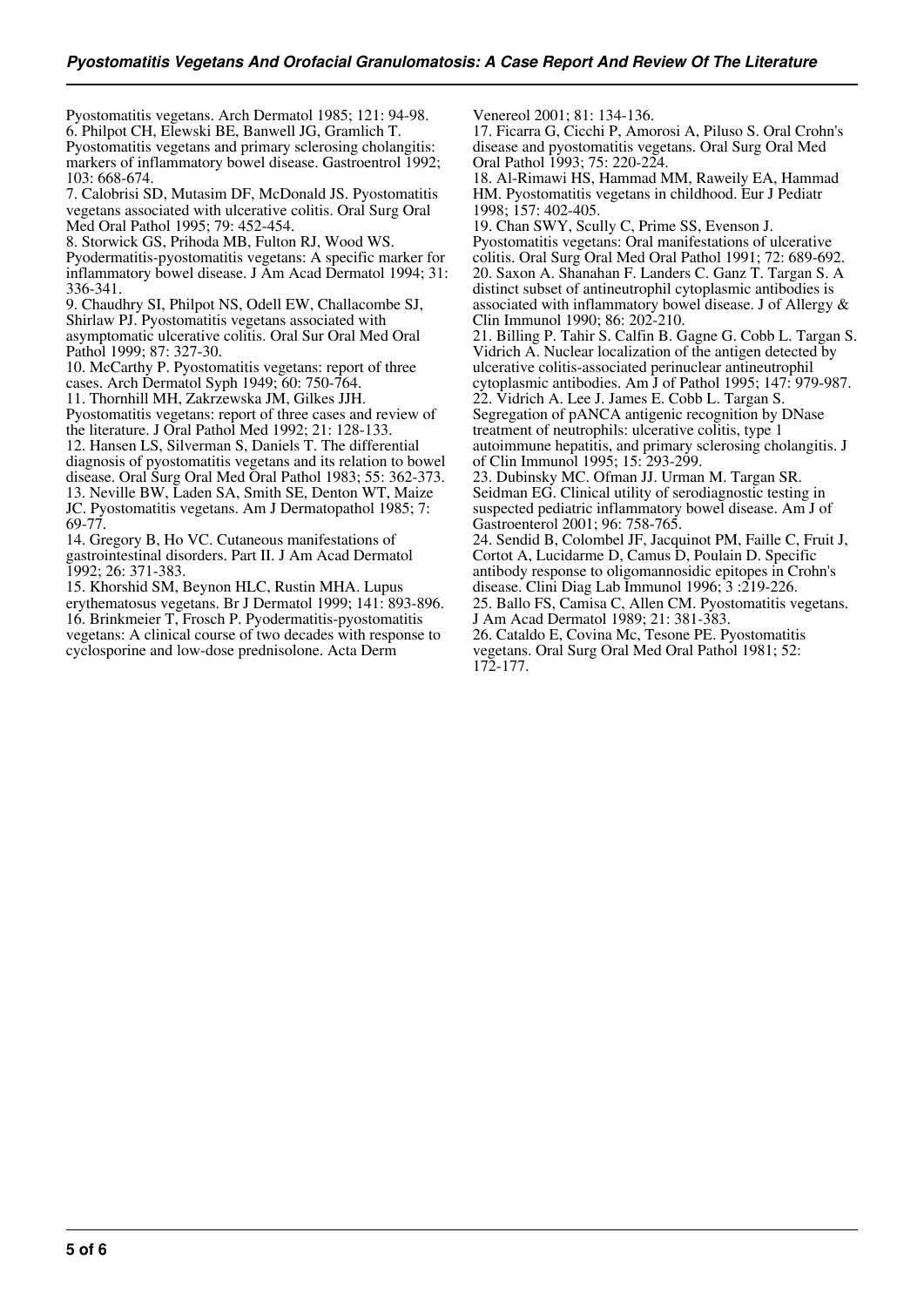Pyostomatitis vegetans. Arch Dermatol 1985; 121: 94-98. 6. Philpot CH, Elewski BE, Banwell JG, Gramlich T. Pyostomatitis vegetans and primary sclerosing cholangitis: markers of inflammatory bowel disease. Gastroentrol 1992; 103: 668-674.

7. Calobrisi SD, Mutasim DF, McDonald JS. Pyostomatitis vegetans associated with ulcerative colitis. Oral Surg Oral Med Oral Pathol 1995; 79: 452-454.

8. Storwick GS, Prihoda MB, Fulton RJ, Wood WS. Pyodermatitis-pyostomatitis vegetans: A specific marker for inflammatory bowel disease. J Am Acad Dermatol 1994; 31: 336-341.

9. Chaudhry SI, Philpot NS, Odell EW, Challacombe SJ, Shirlaw PJ. Pyostomatitis vegetans associated with asymptomatic ulcerative colitis. Oral Sur Oral Med Oral Pathol 1999; 87: 327-30.

10. McCarthy P. Pyostomatitis vegetans: report of three cases. Arch Dermatol Syph 1949; 60: 750-764.

11. Thornhill MH, Zakrzewska JM, Gilkes JJH.

Pyostomatitis vegetans: report of three cases and review of the literature. J Oral Pathol Med 1992; 21: 128-133. 12. Hansen LS, Silverman S, Daniels T. The differential diagnosis of pyostomatitis vegetans and its relation to bowel disease. Oral Surg Oral Med Oral Pathol 1983; 55: 362-373. 13. Neville BW, Laden SA, Smith SE, Denton WT, Maize JC. Pyostomatitis vegetans. Am J Dermatopathol 1985; 7: 69-77.

14. Gregory B, Ho VC. Cutaneous manifestations of gastrointestinal disorders. Part II. J Am Acad Dermatol 1992; 26: 371-383.

15. Khorshid SM, Beynon HLC, Rustin MHA. Lupus erythematosus vegetans. Br J Dermatol 1999; 141: 893-896. 16. Brinkmeier T, Frosch P. Pyodermatitis-pyostomatitis vegetans: A clinical course of two decades with response to cyclosporine and low-dose prednisolone. Acta Derm

Venereol 2001; 81: 134-136.

17. Ficarra G, Cicchi P, Amorosi A, Piluso S. Oral Crohn's disease and pyostomatitis vegetans. Oral Surg Oral Med Oral Pathol 1993; 75: 220-224.

18. Al-Rimawi HS, Hammad MM, Raweily EA, Hammad HM. Pyostomatitis vegetans in childhood. Eur J Pediatr 1998; 157: 402-405.

19. Chan SWY, Scully C, Prime SS, Evenson J. Pyostomatitis vegetans: Oral manifestations of ulcerative colitis. Oral Surg Oral Med Oral Pathol 1991; 72: 689-692. 20. Saxon A. Shanahan F. Landers C. Ganz T. Targan S. A distinct subset of antineutrophil cytoplasmic antibodies is associated with inflammatory bowel disease. J of Allergy & Clin Immunol 1990; 86: 202-210.

21. Billing P. Tahir S. Calfin B. Gagne G. Cobb L. Targan S. Vidrich A. Nuclear localization of the antigen detected by ulcerative colitis-associated perinuclear antineutrophil cytoplasmic antibodies. Am J of Pathol 1995; 147: 979-987. 22. Vidrich A. Lee J. James E. Cobb L. Targan S. Segregation of pANCA antigenic recognition by DNase treatment of neutrophils: ulcerative colitis, type 1 autoimmune hepatitis, and primary sclerosing cholangitis. J of Clin Immunol 1995; 15: 293-299.

23. Dubinsky MC. Ofman JJ. Urman M. Targan SR. Seidman EG. Clinical utility of serodiagnostic testing in suspected pediatric inflammatory bowel disease. Am J of Gastroenterol 2001; 96: 758-765.

24. Sendid B, Colombel JF, Jacquinot PM, Faille C, Fruit J, Cortot A, Lucidarme D, Camus D, Poulain D. Specific antibody response to oligomannosidic epitopes in Crohn's disease. Clini Diag Lab Immunol 1996; 3 :219-226. 25. Ballo FS, Camisa C, Allen CM. Pyostomatitis vegetans. J Am Acad Dermatol 1989; 21: 381-383. 26. Cataldo E, Covina Mc, Tesone PE. Pyostomatitis

vegetans. Oral Surg Oral Med Oral Pathol 1981; 52: 172-177.